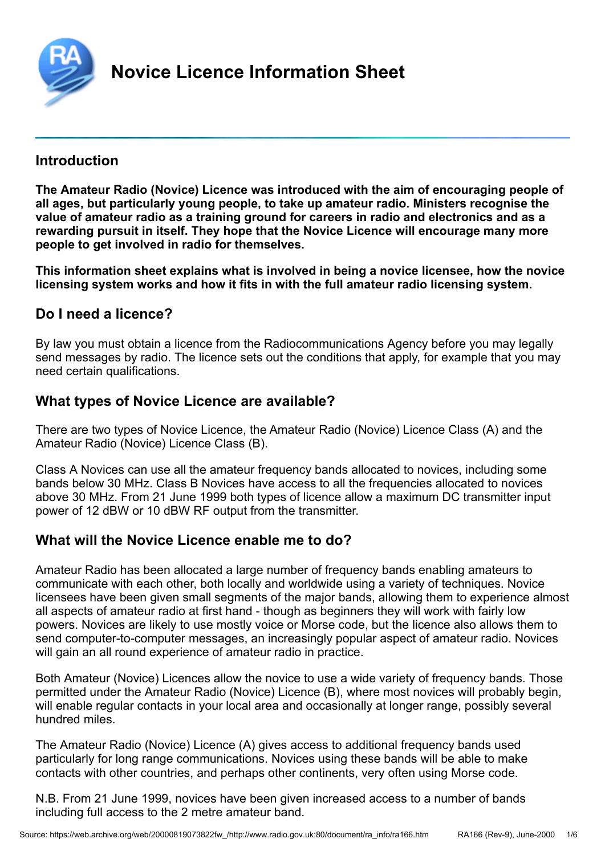<span id="page-0-0"></span>

#### **Introduction**

**The Amateur Radio (Novice) Licence was introduced with the aim of encouraging people of all ages, but particularly young people, to take up amateur radio. Ministers recognise the value of amateur radio as a training ground for careers in radio and electronics and as a rewarding pursuit in itself. They hope that the Novice Licence will encourage many more people to get involved in radio for themselves.**

**This information sheet explains what is involved in being a novice licensee, how the novice licensing system works and how it fits in with the full amateur radio licensing system.**

## **Do I need a licence?**

By law you must obtain a licence from the Radiocommunications Agency before you may legally send messages by radio. The licence sets out the conditions that apply, for example that you may need certain qualifications.

## **What types of Novice Licence are available?**

There are two types of Novice Licence, the Amateur Radio (Novice) Licence Class (A) and the Amateur Radio (Novice) Licence Class (B).

Class A Novices can use all the amateur frequency bands allocated to novices, including some bands below 30 MHz. Class B Novices have access to all the frequencies allocated to novices above 30 MHz. From 21 June 1999 both types of licence allow a maximum DC transmitter input power of 12 dBW or 10 dBW RF output from the transmitter.

## **What will the Novice Licence enable me to do?**

Amateur Radio has been allocated a large number of frequency bands enabling amateurs to communicate with each other, both locally and worldwide using a variety of techniques. Novice licensees have been given small segments of the major bands, allowing them to experience almost all aspects of amateur radio at first hand - though as beginners they will work with fairly low powers. Novices are likely to use mostly voice or Morse code, but the licence also allows them to send computer-to-computer messages, an increasingly popular aspect of amateur radio. Novices will gain an all round experience of amateur radio in practice.

Both Amateur (Novice) Licences allow the novice to use a wide variety of frequency bands. Those permitted under the Amateur Radio (Novice) Licence (B), where most novices will probably begin, will enable regular contacts in your local area and occasionally at longer range, possibly several hundred miles.

The Amateur Radio (Novice) Licence (A) gives access to additional frequency bands used particularly for long range communications. Novices using these bands will be able to make contacts with other countries, and perhaps other continents, very often using Morse code.

N.B. From 21 June 1999, novices have been given increased access to a number of bands including full access to the 2 metre amateur band.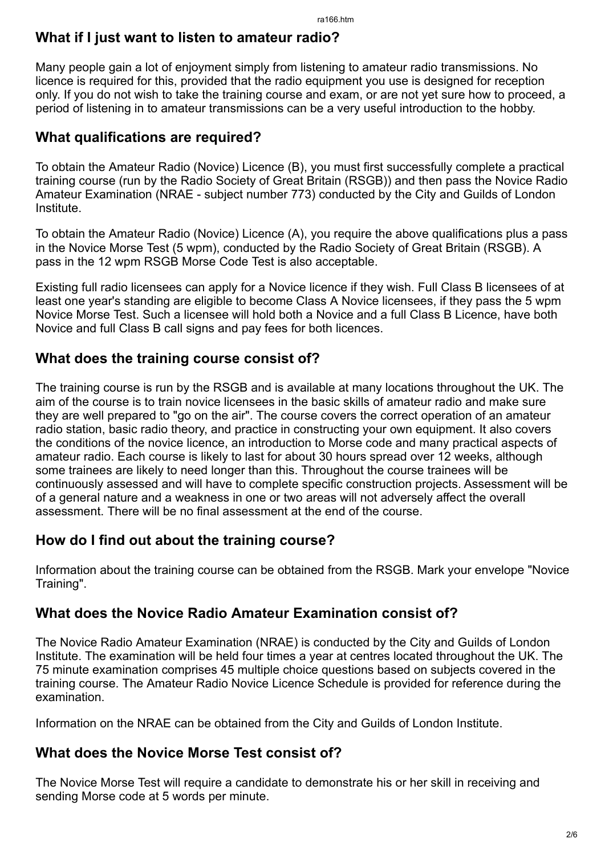## **What if I just want to listen to amateur radio?**

Many people gain a lot of enjoyment simply from listening to amateur radio transmissions. No licence is required for this, provided that the radio equipment you use is designed for reception only. If you do not wish to take the training course and exam, or are not yet sure how to proceed, a period of listening in to amateur transmissions can be a very useful introduction to the hobby.

## **What qualifications are required?**

To obtain the Amateur Radio (Novice) Licence (B), you must first successfully complete a practical training course (run by the Radio Society of Great Britain (RSGB)) and then pass the Novice Radio Amateur Examination (NRAE - subject number 773) conducted by the City and Guilds of London Institute.

To obtain the Amateur Radio (Novice) Licence (A), you require the above qualifications plus a pass in the Novice Morse Test (5 wpm), conducted by the Radio Society of Great Britain (RSGB). A pass in the 12 wpm RSGB Morse Code Test is also acceptable.

Existing full radio licensees can apply for a Novice licence if they wish. Full Class B licensees of at least one year's standing are eligible to become Class A Novice licensees, if they pass the 5 wpm Novice Morse Test. Such a licensee will hold both a Novice and a full Class B Licence, have both Novice and full Class B call signs and pay fees for both licences.

## **What does the training course consist of?**

The training course is run by the RSGB and is available at many locations throughout the UK. The aim of the course is to train novice licensees in the basic skills of amateur radio and make sure they are well prepared to "go on the air". The course covers the correct operation of an amateur radio station, basic radio theory, and practice in constructing your own equipment. It also covers the conditions of the novice licence, an introduction to Morse code and many practical aspects of amateur radio. Each course is likely to last for about 30 hours spread over 12 weeks, although some trainees are likely to need longer than this. Throughout the course trainees will be continuously assessed and will have to complete specific construction projects. Assessment will be of a general nature and a weakness in one or two areas will not adversely affect the overall assessment. There will be no final assessment at the end of the course.

# **How do I find out about the training course?**

Information about the training course can be obtained from the RSGB. Mark your envelope "Novice Training".

## **What does the Novice Radio Amateur Examination consist of?**

The Novice Radio Amateur Examination (NRAE) is conducted by the City and Guilds of London Institute. The examination will be held four times a year at centres located throughout the UK. The 75 minute examination comprises 45 multiple choice questions based on subjects covered in the training course. The Amateur Radio Novice Licence Schedule is provided for reference during the examination.

Information on the NRAE can be obtained from the City and Guilds of London Institute.

## **What does the Novice Morse Test consist of?**

The Novice Morse Test will require a candidate to demonstrate his or her skill in receiving and sending Morse code at 5 words per minute.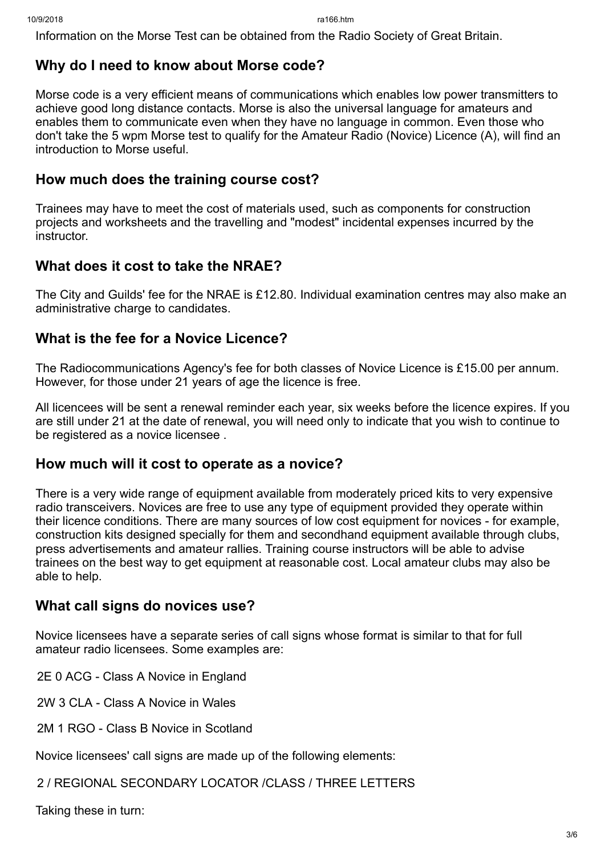Information on the Morse Test can be obtained from the Radio Society of Great Britain.

## **Why do I need to know about Morse code?**

Morse code is a very efficient means of communications which enables low power transmitters to achieve good long distance contacts. Morse is also the universal language for amateurs and enables them to communicate even when they have no language in common. Even those who don't take the 5 wpm Morse test to qualify for the Amateur Radio (Novice) Licence (A), will find an introduction to Morse useful.

#### **How much does the training course cost?**

Trainees may have to meet the cost of materials used, such as components for construction projects and worksheets and the travelling and "modest" incidental expenses incurred by the instructor.

#### **What does it cost to take the NRAE?**

The City and Guilds' fee for the NRAE is £12.80. Individual examination centres may also make an administrative charge to candidates.

### **What is the fee for a Novice Licence?**

The Radiocommunications Agency's fee for both classes of Novice Licence is £15.00 per annum. However, for those under 21 years of age the licence is free.

All licencees will be sent a renewal reminder each year, six weeks before the licence expires. If you are still under 21 at the date of renewal, you will need only to indicate that you wish to continue to be registered as a novice licensee .

#### **How much will it cost to operate as a novice?**

There is a very wide range of equipment available from moderately priced kits to very expensive radio transceivers. Novices are free to use any type of equipment provided they operate within their licence conditions. There are many sources of low cost equipment for novices - for example, construction kits designed specially for them and secondhand equipment available through clubs, press advertisements and amateur rallies. Training course instructors will be able to advise trainees on the best way to get equipment at reasonable cost. Local amateur clubs may also be able to help.

#### **What call signs do novices use?**

Novice licensees have a separate series of call signs whose format is similar to that for full amateur radio licensees. Some examples are:

2E 0 ACG - Class A Novice in England

2W 3 CLA - Class A Novice in Wales

2M 1 RGO - Class B Novice in Scotland

Novice licensees' call signs are made up of the following elements:

2 / REGIONAL SECONDARY LOCATOR /CLASS / THREE LETTERS

Taking these in turn: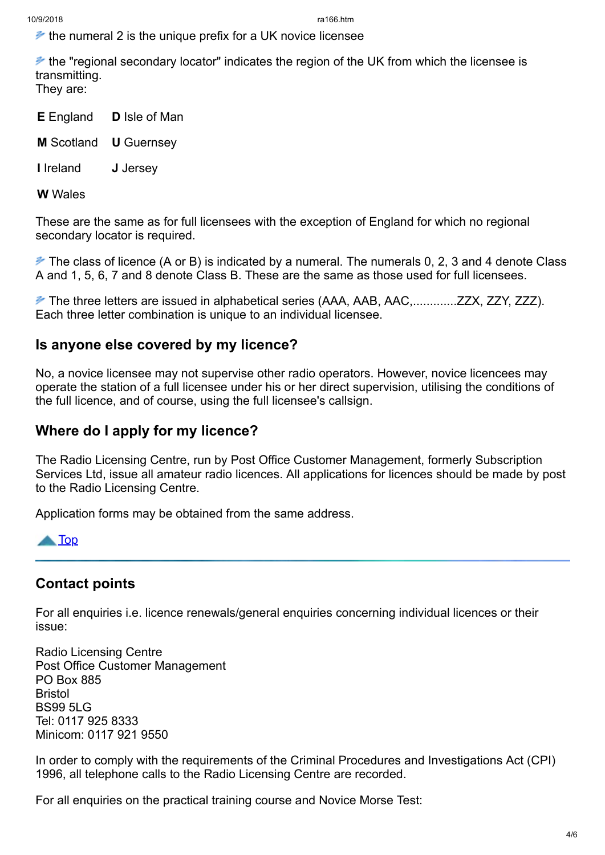$\ge$  the numeral 2 is the unique prefix for a UK novice licensee

 $\neq$  the "regional secondary locator" indicates the region of the UK from which the licensee is transmitting. They are:

- **E** England **D** Isle of Man
- **M** Scotland **U** Guernsey
- **I** Ireland **J** Jersey

**W** Wales

These are the same as for full licensees with the exception of England for which no regional secondary locator is required.

 $\blacktriangleright$  The class of licence (A or B) is indicated by a numeral. The numerals 0, 2, 3 and 4 denote Class A and 1, 5, 6, 7 and 8 denote Class B. These are the same as those used for full licensees.

 The three letters are issued in alphabetical series (AAA, AAB, AAC,.............ZZX, ZZY, ZZZ). Each three letter combination is unique to an individual licensee.

### **Is anyone else covered by my licence?**

No, a novice licensee may not supervise other radio operators. However, novice licencees may operate the station of a full licensee under his or her direct supervision, utilising the conditions of the full licence, and of course, using the full licensee's callsign.

## **Where do I apply for my licence?**

The Radio Licensing Centre, run by Post Office Customer Management, formerly Subscription Services Ltd, issue all amateur radio licences. All applications for licences should be made by post to the Radio Licensing Centre.

Application forms may be obtained from the same address.



## **Contact points**

For all enquiries i.e. licence renewals/general enquiries concerning individual licences or their issue:

Radio Licensing Centre Post Office Customer Management PO Box 885 **Bristol** BS99 5LG Tel: 0117 925 8333 Minicom: 0117 921 9550

In order to comply with the requirements of the Criminal Procedures and Investigations Act (CPI) 1996, all telephone calls to the Radio Licensing Centre are recorded.

For all enquiries on the practical training course and Novice Morse Test: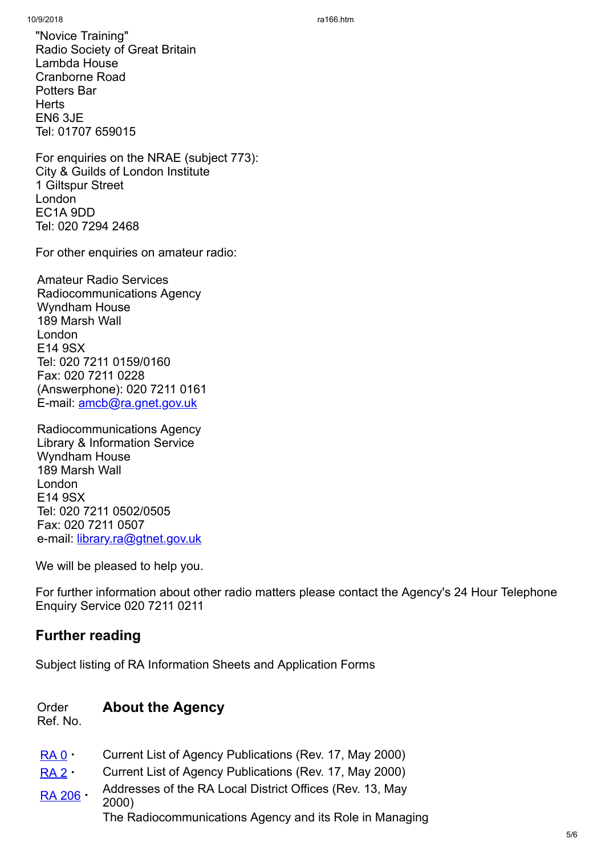"Novice Training" Radio Society of Great Britain Lambda House Cranborne Road Potters Bar **Herts** EN6 3JE Tel: 01707 659015

For enquiries on the NRAE (subject 773): City & Guilds of London Institute 1 Giltspur Street London EC1A 9DD Tel: 020 7294 2468

For other enquiries on amateur radio:

Amateur Radio Services Radiocommunications Agency Wyndham House 189 Marsh Wall London E14 9SX Tel: 020 7211 0159/0160 Fax: 020 7211 0228 (Answerphone): 020 7211 0161 E-mail: [amcb@ra.gnet.gov.uk](https://web.archive.org/web/20000819073822/mailto:amcb@ra.gnet.gov.uk)

Radiocommunications Agency Library & Information Service Wyndham House 189 Marsh Wall London E14 9SX Tel: 020 7211 0502/0505 Fax: 020 7211 0507 e-mail: [library.ra@gtnet.gov.uk](https://web.archive.org/web/20000819073822/mailto:library.ra@gtnet.gov.uk)

We will be pleased to help you.

For further information about other radio matters please contact the Agency's 24 Hour Telephone Enquiry Service 020 7211 0211

# **Further reading**

Subject listing of RA Information Sheets and Application Forms

#### Order **About the Agency**

Ref. No.

- [RA 0](https://web.archive.org/web/20000819073822fw_/http://www.radio.gov.uk:80/document/ra_info/ra0.htm) **·** Current List of Agency Publications (Rev. 17, May 2000)
- [RA 2](https://web.archive.org/web/20000819073822fw_/http://www.radio.gov.uk:80/document/ra_info/ra2.htm) **·** Current List of Agency Publications (Rev. 17, May 2000)

[RA 206](https://web.archive.org/web/20000819073822fw_/http://www.radio.gov.uk:80/document/ra_info/ra206.htm) **·** Addresses of the RA Local District Offices (Rev. 13, May 2000) The Radiocommunications Agency and its Role in Managing